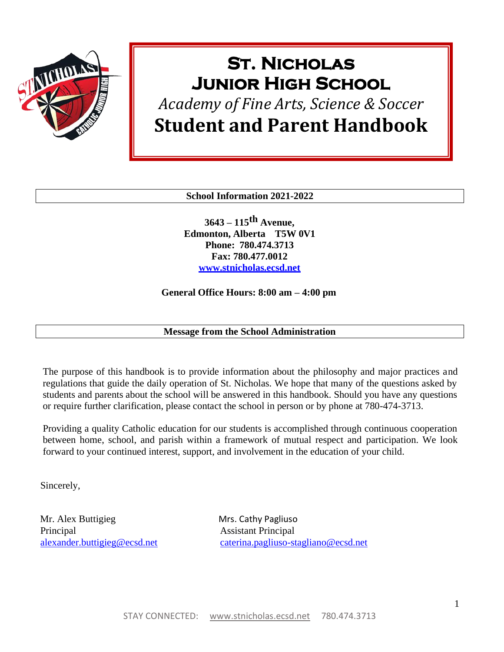

# **St. Nicholas Junior High School**

# *Academy of Fine Arts, Science & Soccer* **Student and Parent Handbook**

**School Information 2021-2022**

**3643 – 115th Avenue, Edmonton, Alberta T5W 0V1 Phone: 780.474.3713 Fax: 780.477.0012 [www.stnicholas.ecsd.net](http://www.stnicholas.ecsd.net/)**

**General Office Hours: 8:00 am – 4:00 pm**

**Message from the School Administration**

The purpose of this handbook is to provide information about the philosophy and major practices and regulations that guide the daily operation of St. Nicholas. We hope that many of the questions asked by students and parents about the school will be answered in this handbook. Should you have any questions or require further clarification, please contact the school in person or by phone at 780-474-3713.

Providing a quality Catholic education for our students is accomplished through continuous cooperation between home, school, and parish within a framework of mutual respect and participation. We look forward to your continued interest, support, and involvement in the education of your child.

Sincerely,

Mr. Alex Buttigieg Mrs. Cathy Pagliuso Principal Assistant Principal

[alexander.buttigieg@ecsd.net](mailto:alexander.buttigieg@ecsd.net) [caterina.pagliuso-stagliano@ecsd.net](mailto:caterina.pagliuso-stagliano@ecsd.net)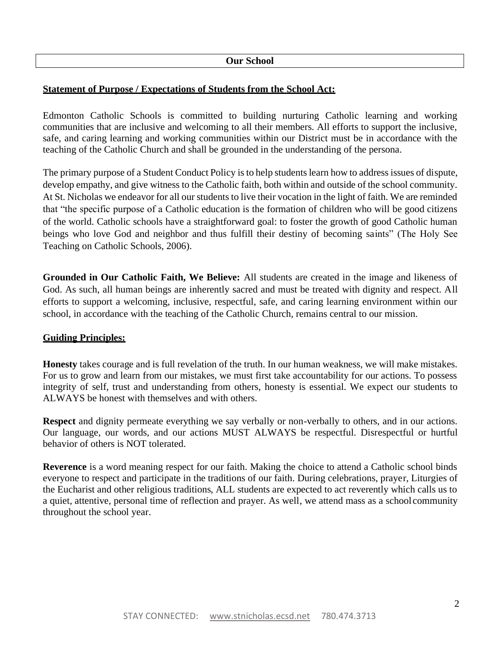#### **Our School**

#### **Statement of Purpose / Expectations of Students from the School Act:**

Edmonton Catholic Schools is committed to building nurturing Catholic learning and working communities that are inclusive and welcoming to all their members. All efforts to support the inclusive, safe, and caring learning and working communities within our District must be in accordance with the teaching of the Catholic Church and shall be grounded in the understanding of the persona.

The primary purpose of a Student Conduct Policy is to help students learn how to address issues of dispute, develop empathy, and give witness to the Catholic faith, both within and outside of the school community. At St. Nicholas we endeavor for all our students to live their vocation in the light of faith. We are reminded that "the specific purpose of a Catholic education is the formation of children who will be good citizens of the world. Catholic schools have a straightforward goal: to foster the growth of good Catholic human beings who love God and neighbor and thus fulfill their destiny of becoming saints" (The Holy See Teaching on Catholic Schools, 2006).

**Grounded in Our Catholic Faith, We Believe:** All students are created in the image and likeness of God. As such, all human beings are inherently sacred and must be treated with dignity and respect. All efforts to support a welcoming, inclusive, respectful, safe, and caring learning environment within our school, in accordance with the teaching of the Catholic Church, remains central to our mission.

#### **Guiding Principles:**

**Honesty** takes courage and is full revelation of the truth. In our human weakness, we will make mistakes. For us to grow and learn from our mistakes, we must first take accountability for our actions. To possess integrity of self, trust and understanding from others, honesty is essential. We expect our students to ALWAYS be honest with themselves and with others.

**Respect** and dignity permeate everything we say verbally or non-verbally to others, and in our actions. Our language, our words, and our actions MUST ALWAYS be respectful. Disrespectful or hurtful behavior of others is NOT tolerated.

**Reverence** is a word meaning respect for our faith. Making the choice to attend a Catholic school binds everyone to respect and participate in the traditions of our faith. During celebrations, prayer, Liturgies of the Eucharist and other religious traditions, ALL students are expected to act reverently which calls us to a quiet, attentive, personal time of reflection and prayer. As well, we attend mass as a school community throughout the school year.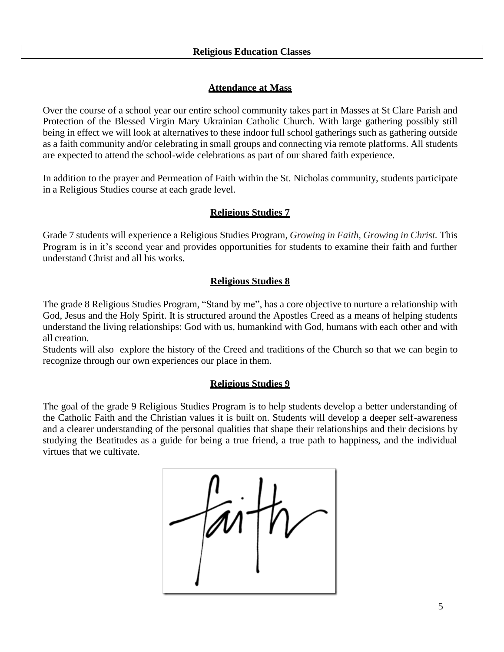## **Attendance at Mass**

Over the course of a school year our entire school community takes part in Masses at St Clare Parish and Protection of the Blessed Virgin Mary Ukrainian Catholic Church. With large gathering possibly still being in effect we will look at alternatives to these indoor full school gatherings such as gathering outside as a faith community and/or celebrating in small groups and connecting via remote platforms. All students are expected to attend the school-wide celebrations as part of our shared faith experience.

In addition to the prayer and Permeation of Faith within the St. Nicholas community, students participate in a Religious Studies course at each grade level.

# **Religious Studies 7**

Grade 7 students will experience a Religious Studies Program, *Growing in Faith, Growing in Christ.* This Program is in it's second year and provides opportunities for students to examine their faith and further understand Christ and all his works.

# **Religious Studies 8**

The grade 8 Religious Studies Program, "Stand by me", has a core objective to nurture a relationship with God, Jesus and the Holy Spirit. It is structured around the Apostles Creed as a means of helping students understand the living relationships: God with us, humankind with God, humans with each other and with all creation.

Students will also explore the history of the Creed and traditions of the Church so that we can begin to recognize through our own experiences our place in them.

# **Religious Studies 9**

The goal of the grade 9 Religious Studies Program is to help students develop a better understanding of the Catholic Faith and the Christian values it is built on. Students will develop a deeper self-awareness and a clearer understanding of the personal qualities that shape their relationships and their decisions by studying the Beatitudes as a guide for being a true friend, a true path to happiness, and the individual virtues that we cultivate.

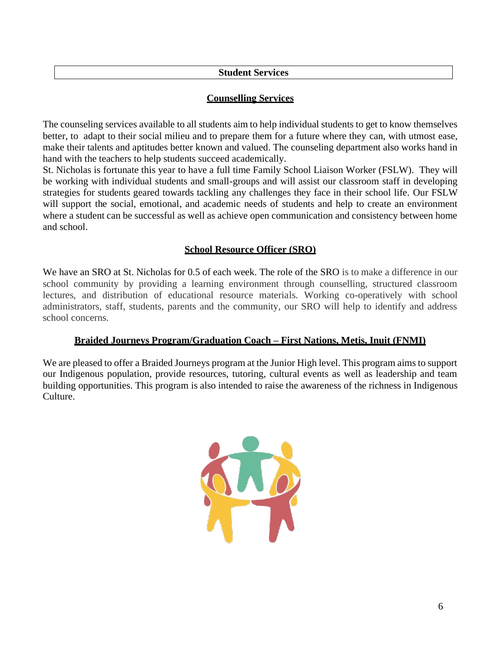## **Student Services**

## **Counselling Services**

The counseling services available to all students aim to help individual students to get to know themselves better, to adapt to their social milieu and to prepare them for a future where they can, with utmost ease, make their talents and aptitudes better known and valued. The counseling department also works hand in hand with the teachers to help students succeed academically.

St. Nicholas is fortunate this year to have a full time Family School Liaison Worker (FSLW). They will be working with individual students and small-groups and will assist our classroom staff in developing strategies for students geared towards tackling any challenges they face in their school life. Our FSLW will support the social, emotional, and academic needs of students and help to create an environment where a student can be successful as well as achieve open communication and consistency between home and school.

# **School Resource Officer (SRO)**

We have an SRO at St. Nicholas for 0.5 of each week. The role of the SRO is to make a difference in our school community by providing a learning environment through counselling, structured classroom lectures, and distribution of educational resource materials. Working co-operatively with school administrators, staff, students, parents and the community, our SRO will help to identify and address school concerns.

## **Braided Journeys Program/Graduation Coach – First Nations, Metis, Inuit (FNMI)**

We are pleased to offer a Braided Journeys program at the Junior High level. This program aims to support our Indigenous population, provide resources, tutoring, cultural events as well as leadership and team building opportunities. This program is also intended to raise the awareness of the richness in Indigenous Culture.

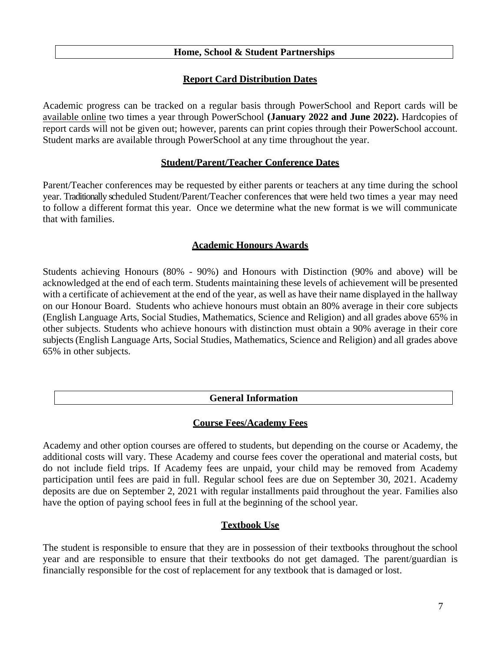## **Home, School & Student Partnerships**

# **Report Card Distribution Dates**

Academic progress can be tracked on a regular basis through PowerSchool and Report cards will be available online two times a year through PowerSchool **(January 2022 and June 2022).** Hardcopies of report cards will not be given out; however, parents can print copies through their PowerSchool account. Student marks are available through PowerSchool at any time throughout the year.

## **Student/Parent/Teacher Conference Dates**

Parent/Teacher conferences may be requested by either parents or teachers at any time during the school year. Traditionally scheduled Student/Parent/Teacher conferences that were held two times a year may need to follow a different format this year. Once we determine what the new format is we will communicate that with families.

## **Academic Honours Awards**

Students achieving Honours (80% - 90%) and Honours with Distinction (90% and above) will be acknowledged at the end of each term. Students maintaining these levels of achievement will be presented with a certificate of achievement at the end of the year, as well as have their name displayed in the hallway on our Honour Board. Students who achieve honours must obtain an 80% average in their core subjects (English Language Arts, Social Studies, Mathematics, Science and Religion) and all grades above 65% in other subjects. Students who achieve honours with distinction must obtain a 90% average in their core subjects (English Language Arts, Social Studies, Mathematics, Science and Religion) and all grades above 65% in other subjects.

## **General Information**

# **Course Fees/Academy Fees**

Academy and other option courses are offered to students, but depending on the course or Academy, the additional costs will vary. These Academy and course fees cover the operational and material costs, but do not include field trips. If Academy fees are unpaid, your child may be removed from Academy participation until fees are paid in full. Regular school fees are due on September 30, 2021. Academy deposits are due on September 2, 2021 with regular installments paid throughout the year. Families also have the option of paying school fees in full at the beginning of the school year.

# **Textbook Use**

The student is responsible to ensure that they are in possession of their textbooks throughout the school year and are responsible to ensure that their textbooks do not get damaged. The parent/guardian is financially responsible for the cost of replacement for any textbook that is damaged or lost.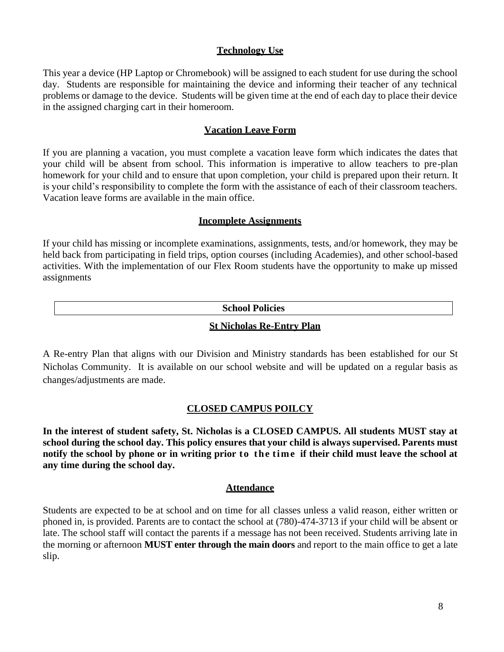## **Technology Use**

This year a device (HP Laptop or Chromebook) will be assigned to each student for use during the school day. Students are responsible for maintaining the device and informing their teacher of any technical problems or damage to the device. Students will be given time at the end of each day to place their device in the assigned charging cart in their homeroom.

## **Vacation Leave Form**

If you are planning a vacation, you must complete a vacation leave form which indicates the dates that your child will be absent from school. This information is imperative to allow teachers to pre-plan homework for your child and to ensure that upon completion, your child is prepared upon their return. It is your child's responsibility to complete the form with the assistance of each of their classroom teachers. Vacation leave forms are available in the main office.

#### **Incomplete Assignments**

If your child has missing or incomplete examinations, assignments, tests, and/or homework, they may be held back from participating in field trips, option courses (including Academies), and other school-based activities. With the implementation of our Flex Room students have the opportunity to make up missed assignments

#### **School Policies**

#### **St Nicholas Re-Entry Plan**

A Re-entry Plan that aligns with our Division and Ministry standards has been established for our St Nicholas Community. It is available on our school website and will be updated on a regular basis as changes/adjustments are made.

## **CLOSED CAMPUS POILCY**

**In the interest of student safety, St. Nicholas is a CLOSED CAMPUS. All students MUST stay at school during the school day. This policy ensures that your child is always supervised. Parents must notify the school by phone or in writing prior to the time if their child must leave the school at any time during the school day.**

#### **Attendance**

Students are expected to be at school and on time for all classes unless a valid reason, either written or phoned in, is provided. Parents are to contact the school at (780)-474-3713 if your child will be absent or late. The school staff will contact the parents if a message has not been received. Students arriving late in the morning or afternoon **MUST enter through the main doors** and report to the main office to get a late slip.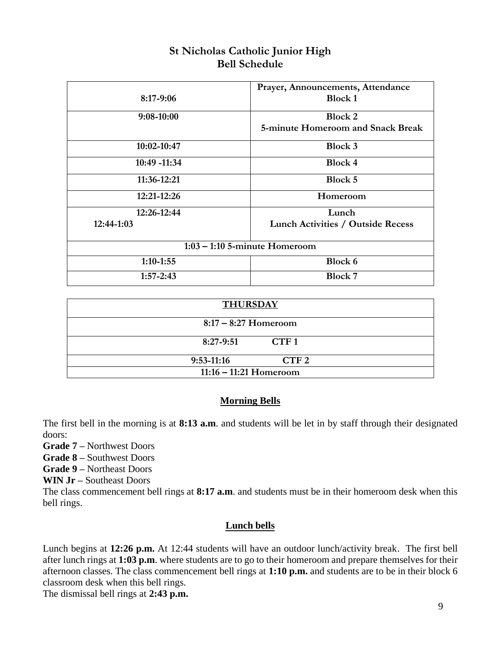| <b>St Nicholas Catholic Junior High</b> |
|-----------------------------------------|
| <b>Bell Schedule</b>                    |

|                                 | Prayer, Announcements, Attendance        |  |  |  |
|---------------------------------|------------------------------------------|--|--|--|
| $8:17-9:06$                     | <b>Block 1</b>                           |  |  |  |
| $9:08-10:00$                    | <b>Block 2</b>                           |  |  |  |
|                                 | 5-minute Homeroom and Snack Break        |  |  |  |
| 10:02-10:47                     | Block 3                                  |  |  |  |
| 10:49 -11:34                    | <b>Block 4</b>                           |  |  |  |
| 11:36-12:21                     | Block 5                                  |  |  |  |
| $12:21-12:26$                   | Homeroom                                 |  |  |  |
| 12:26-12:44                     | Lunch                                    |  |  |  |
| $12:44-1:03$                    | <b>Lunch Activities / Outside Recess</b> |  |  |  |
| $1:03 - 1:10$ 5-minute Homeroom |                                          |  |  |  |
| $1:10-1:55$                     | Block 6                                  |  |  |  |
| $1:57 - 2:43$                   | <b>Block 7</b>                           |  |  |  |

| <b>THURSDAY</b>        |                          |                  |  |  |
|------------------------|--------------------------|------------------|--|--|
| $8:17 - 8:27$ Homeroom |                          |                  |  |  |
|                        | $8:27-9:51$              | CTF1             |  |  |
| $9:53-11:16$           |                          | CTF <sub>2</sub> |  |  |
|                        | $11:16 - 11:21$ Homeroom |                  |  |  |

# **Morning Bells**

The first bell in the morning is at **8:13 a.m**. and students will be let in by staff through their designated doors:

**Grade 7 –** Northwest Doors

**Grade 8 –** Southwest Doors

**Grade 9 –** Northeast Doors

**WIN Jr –** Southeast Doors

The class commencement bell rings at **8:17 a.m**. and students must be in their homeroom desk when this bell rings.

# **Lunch bells**

Lunch begins at **12:26 p.m.** At 12:44 students will have an outdoor lunch/activity break. The first bell after lunch rings at **1:03 p.m**. where students are to go to their homeroom and prepare themselves for their afternoon classes. The class commencement bell rings at **1:10 p.m.** and students are to be in their block 6 classroom desk when this bell rings.

The dismissal bell rings at **2:43 p.m.**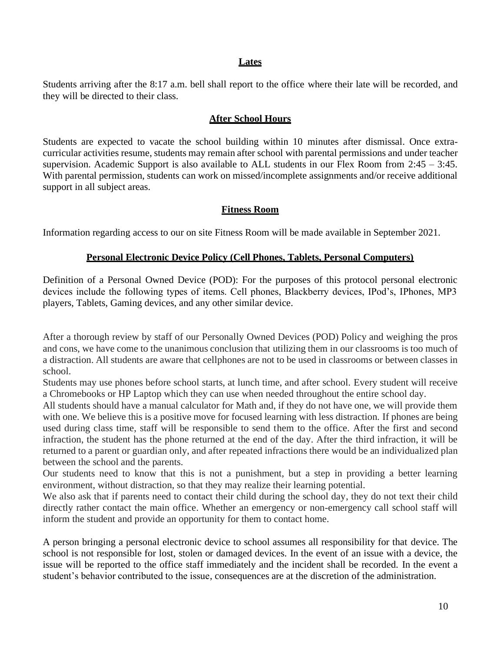#### **Lates**

Students arriving after the 8:17 a.m. bell shall report to the office where their late will be recorded, and they will be directed to their class.

#### **After School Hours**

Students are expected to vacate the school building within 10 minutes after dismissal. Once extracurricular activities resume, students may remain after school with parental permissions and under teacher supervision. Academic Support is also available to ALL students in our Flex Room from  $2:45 - 3:45$ . With parental permission, students can work on missed/incomplete assignments and/or receive additional support in all subject areas.

#### **Fitness Room**

Information regarding access to our on site Fitness Room will be made available in September 2021.

#### **Personal Electronic Device Policy (Cell Phones, Tablets, Personal Computers)**

Definition of a Personal Owned Device (POD): For the purposes of this protocol personal electronic devices include the following types of items. Cell phones, Blackberry devices, IPod's, IPhones, MP3 players, Tablets, Gaming devices, and any other similar device.

After a thorough review by staff of our Personally Owned Devices (POD) Policy and weighing the pros and cons, we have come to the unanimous conclusion that utilizing them in our classrooms is too much of a distraction. All students are aware that cellphones are not to be used in classrooms or between classes in school.

Students may use phones before school starts, at lunch time, and after school. Every student will receive a Chromebooks or HP Laptop which they can use when needed throughout the entire school day.

All students should have a manual calculator for Math and, if they do not have one, we will provide them with one. We believe this is a positive move for focused learning with less distraction. If phones are being used during class time, staff will be responsible to send them to the office. After the first and second infraction, the student has the phone returned at the end of the day. After the third infraction, it will be returned to a parent or guardian only, and after repeated infractions there would be an individualized plan between the school and the parents.

Our students need to know that this is not a punishment, but a step in providing a better learning environment, without distraction, so that they may realize their learning potential.

We also ask that if parents need to contact their child during the school day, they do not text their child directly rather contact the main office. Whether an emergency or non-emergency call school staff will inform the student and provide an opportunity for them to contact home.

A person bringing a personal electronic device to school assumes all responsibility for that device. The school is not responsible for lost, stolen or damaged devices. In the event of an issue with a device, the issue will be reported to the office staff immediately and the incident shall be recorded. In the event a student's behavior contributed to the issue, consequences are at the discretion of the administration.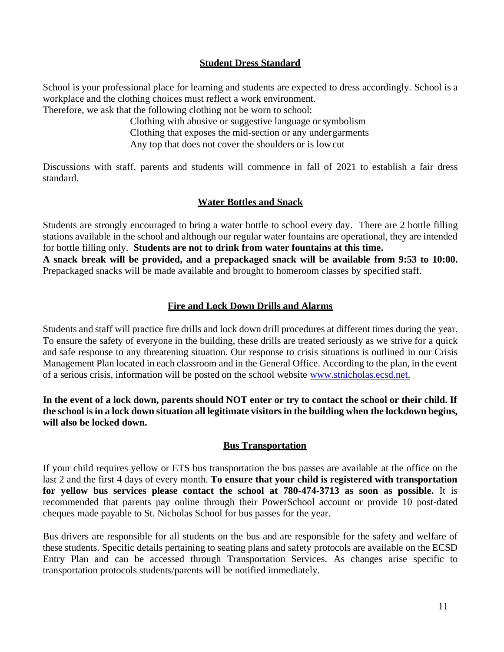## **Student Dress Standard**

School is your professional place for learning and students are expected to dress accordingly. School is a workplace and the clothing choices must reflect a work environment. Therefore, we ask that the following clothing not be worn to school:

Clothing with abusive or suggestive language orsymbolism Clothing that exposes the mid-section or any undergarments Any top that does not cover the shoulders or is lowcut

Discussions with staff, parents and students will commence in fall of 2021 to establish a fair dress standard.

# **Water Bottles and Snack**

Students are strongly encouraged to bring a water bottle to school every day. There are 2 bottle filling stations available in the school and although our regular water fountains are operational, they are intended for bottle filling only. **Students are not to drink from water fountains at this time. A snack break will be provided, and a prepackaged snack will be available from 9:53 to 10:00.**  Prepackaged snacks will be made available and brought to homeroom classes by specified staff.

# **Fire and Lock Down Drills and Alarms**

Students and staff will practice fire drills and lock down drill procedures at different times during the year. To ensure the safety of everyone in the building, these drills are treated seriously as we strive for a quick and safe response to any threatening situation. Our response to crisis situations is outlined in our Crisis Management Plan located in each classroom and in the General Office. According to the plan, in the event of a serious crisis, information will be posted on the school website [www.stnicholas.ecsd.net.](http://www.stnicholas.ecsd.net/)

**In the event of a lock down, parents should NOT enter or try to contact the school or their child. If the school is in a lock down situation all legitimate visitors in the building when the lockdown begins, will also be locked down.**

# **Bus Transportation**

If your child requires yellow or ETS bus transportation the bus passes are available at the office on the last 2 and the first 4 days of every month. **To ensure that your child is registered with transportation for yellow bus services please contact the school at 780-474-3713 as soon as possible.** It is recommended that parents pay online through their PowerSchool account or provide 10 post-dated cheques made payable to St. Nicholas School for bus passes for the year.

Bus drivers are responsible for all students on the bus and are responsible for the safety and welfare of these students. Specific details pertaining to seating plans and safety protocols are available on the ECSD Entry Plan and can be accessed through Transportation Services. As changes arise specific to transportation protocols students/parents will be notified immediately.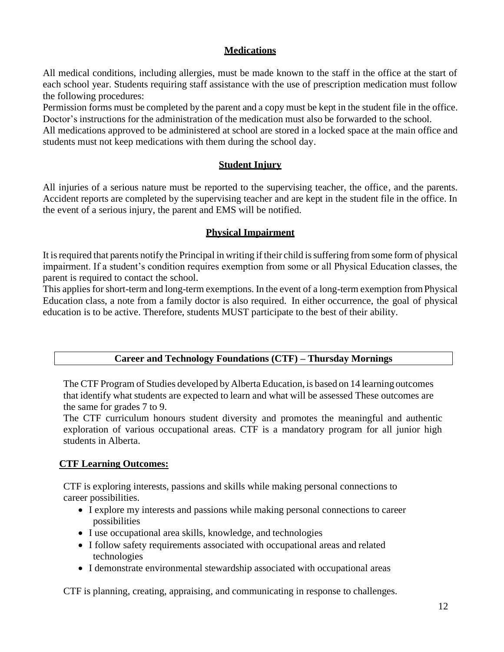# **Medications**

All medical conditions, including allergies, must be made known to the staff in the office at the start of each school year. Students requiring staff assistance with the use of prescription medication must follow the following procedures:

Permission forms must be completed by the parent and a copy must be kept in the student file in the office. Doctor's instructions for the administration of the medication must also be forwarded to the school.

All medications approved to be administered at school are stored in a locked space at the main office and students must not keep medications with them during the school day.

# **Student Injury**

All injuries of a serious nature must be reported to the supervising teacher, the office, and the parents. Accident reports are completed by the supervising teacher and are kept in the student file in the office. In the event of a serious injury, the parent and EMS will be notified.

# **Physical Impairment**

It is required that parents notify the Principal in writing if their child is suffering from some form of physical impairment. If a student's condition requires exemption from some or all Physical Education classes, the parent is required to contact the school.

This applies for short-term and long-term exemptions. In the event of a long-term exemption fromPhysical Education class, a note from a family doctor is also required. In either occurrence, the goal of physical education is to be active. Therefore, students MUST participate to the best of their ability.

# **Career and Technology Foundations (CTF) – Thursday Mornings**

The CTF Program of Studies developed by Alberta Education, is based on 14 learning outcomes that identify what students are expected to learn and what will be assessed These outcomes are the same for grades 7 to 9.

The CTF curriculum honours student diversity and promotes the meaningful and authentic exploration of various occupational areas. CTF is a mandatory program for all junior high students in Alberta.

# **CTF Learning Outcomes:**

CTF is exploring interests, passions and skills while making personal connections to career possibilities.

- I explore my interests and passions while making personal connections to career possibilities
- I use occupational area skills, knowledge, and technologies
- I follow safety requirements associated with occupational areas and related technologies
- I demonstrate environmental stewardship associated with occupational areas

CTF is planning, creating, appraising, and communicating in response to challenges.